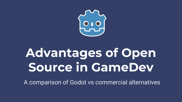

# **Advantages of Open Source in GameDev**

A comparison of Godot vs commercial alternatives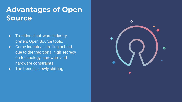## **Advantages of Open Source**

- Traditional software industry prefers Open Source tools.
- Game industry is trailing behind, due to the traditional high secrecy on technology, hardware and hardware constraints.
- The trend is slowly shifting.

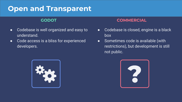## **Open and Transparent**

- Codebase is well organized and easy to understand.
- Code access is a bliss for experienced developers.

- Codebase is closed, engine is a black box
- Sometimes code is available (with restrictions), but development is still not public.



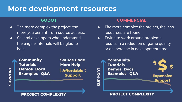## **More development resources**

- The more complex the project, the more you benefit from source access.
- **•** Several developers who understand the engine internals will be glad to help.

**Community Tutorials Demos Docs Examples Q&A** 

**Source Code More Help**  $\frac{5}{5}$  Affordable  $\frac{5}{5}$ **Support** 

### **GODOT COMMERCIAL**

- The more complex the project, the less resources are found.
- Trying to work around problems results in a reduction of game quality or an increase in development time.



### **PROJECT COMPLEXITY**

**PROJECT COMPLEXITY**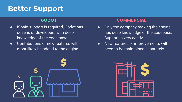## **Better Support**

- If paid support is required, Godot has dozens of developers with deep knowledge of the code base.
- Contributions of new features will most likely be added to the engine.



- Only the company making the engine has deep knowledge of the codebase. Support is very costly.
- New features or improvements will need to be maintained separately.

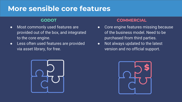## **More sensible core features**

- Most commonly used features are provided out of the box, and integrated to the core engine.
- Less often used features are provided via asset library, for free.



- Core engine features missing because of the business model. Need to be purchased from third parties.
- Not always updated to the latest version and no official support.

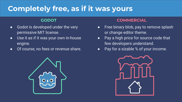## **Completely free, as if it was yours**

- Godot is developed under the very permissive MIT license.
- Use it as if it was your own in-house engine.
- Of course, no fees or revenue share.



- Free binary blob, pay to remove splash or change editor theme.
- Pay a high price for source code that few developers understand.
- Pay for a sizable % of your income.

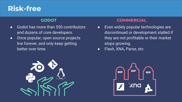## **Risk-free**

- Godot has more than 550 contributors and dozens of core developers.
- Once popular, open source projects live forever, and only keep getting better over time.



- Even widely popular technologies are discontinued or development stalled if they are not profitable or their market stops growing.
- Flash, XNA, Parse, etc.

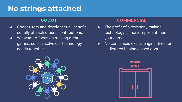## **No strings attached**

- Godot users and developers all benefit equally of each other's contributions.
- We want to focus on making great games, so let's solve our technology needs together.



- The profit of a company making technology is more important than your game.
- No consensus exists, engine direction is dictated behind closed doors.